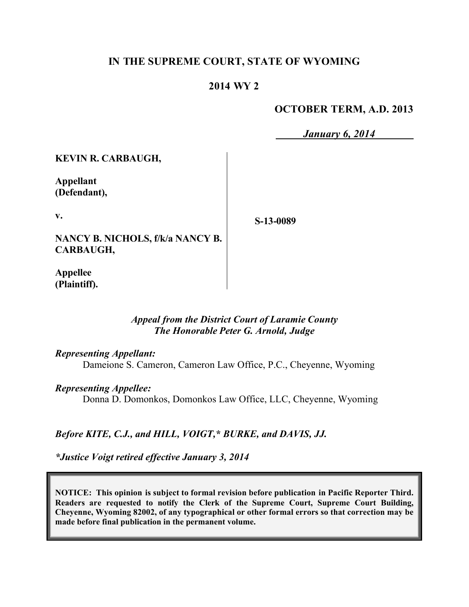# **IN THE SUPREME COURT, STATE OF WYOMING**

# **2014 WY 2**

# **OCTOBER TERM, A.D. 2013**

*January 6, 2014*

**KEVIN R. CARBAUGH,**

**Appellant (Defendant),**

**v.**

**NANCY B. NICHOLS, f/k/a NANCY B. CARBAUGH,**

**S-13-0089**

**Appellee (Plaintiff).**

## *Appeal from the District Court of Laramie County The Honorable Peter G. Arnold, Judge*

#### *Representing Appellant:*

Dameione S. Cameron, Cameron Law Office, P.C., Cheyenne, Wyoming

#### *Representing Appellee:*

Donna D. Domonkos, Domonkos Law Office, LLC, Cheyenne, Wyoming

*Before KITE, C.J., and HILL, VOIGT,\* BURKE, and DAVIS, JJ.*

*\*Justice Voigt retired effective January 3, 2014*

**NOTICE: This opinion is subject to formal revision before publication in Pacific Reporter Third. Readers are requested to notify the Clerk of the Supreme Court, Supreme Court Building, Cheyenne, Wyoming 82002, of any typographical or other formal errors so that correction may be made before final publication in the permanent volume.**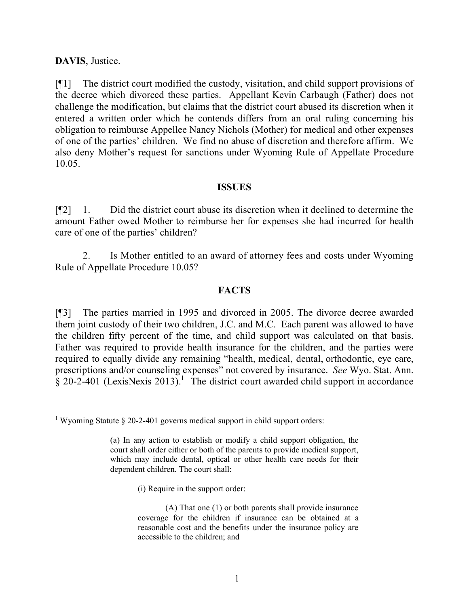## **DAVIS**, Justice.

 $\overline{a}$ 

[¶1] The district court modified the custody, visitation, and child support provisions of the decree which divorced these parties. Appellant Kevin Carbaugh (Father) does not challenge the modification, but claims that the district court abused its discretion when it entered a written order which he contends differs from an oral ruling concerning his obligation to reimburse Appellee Nancy Nichols (Mother) for medical and other expenses of one of the parties' children. We find no abuse of discretion and therefore affirm. We also deny Mother's request for sanctions under Wyoming Rule of Appellate Procedure 10.05.

#### **ISSUES**

[¶2] 1. Did the district court abuse its discretion when it declined to determine the amount Father owed Mother to reimburse her for expenses she had incurred for health care of one of the parties' children?

2. Is Mother entitled to an award of attorney fees and costs under Wyoming Rule of Appellate Procedure 10.05?

## **FACTS**

[¶3] The parties married in 1995 and divorced in 2005. The divorce decree awarded them joint custody of their two children, J.C. and M.C. Each parent was allowed to have the children fifty percent of the time, and child support was calculated on that basis. Father was required to provide health insurance for the children, and the parties were required to equally divide any remaining "health, medical, dental, orthodontic, eye care, prescriptions and/or counseling expenses" not covered by insurance. *See* Wyo. Stat. Ann.  $\frac{1}{8}$  20-2-401 (LexisNexis 2013).<sup>1</sup> The district court awarded child support in accordance

(i) Require in the support order:

<sup>&</sup>lt;sup>1</sup> Wyoming Statute  $\S$  20-2-401 governs medical support in child support orders:

<sup>(</sup>a) In any action to establish or modify a child support obligation, the court shall order either or both of the parents to provide medical support, which may include dental, optical or other health care needs for their dependent children. The court shall:

<sup>(</sup>A) That one (1) or both parents shall provide insurance coverage for the children if insurance can be obtained at a reasonable cost and the benefits under the insurance policy are accessible to the children; and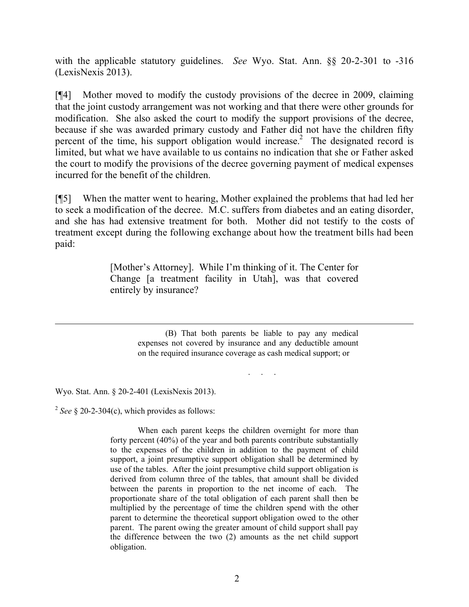with the applicable statutory guidelines. *See* Wyo. Stat. Ann. §§ 20-2-301 to -316 (LexisNexis 2013).

[¶4] Mother moved to modify the custody provisions of the decree in 2009, claiming that the joint custody arrangement was not working and that there were other grounds for modification. She also asked the court to modify the support provisions of the decree, because if she was awarded primary custody and Father did not have the children fifty percent of the time, his support obligation would increase.<sup>2</sup> The designated record is limited, but what we have available to us contains no indication that she or Father asked the court to modify the provisions of the decree governing payment of medical expenses incurred for the benefit of the children.

[¶5] When the matter went to hearing, Mother explained the problems that had led her to seek a modification of the decree. M.C. suffers from diabetes and an eating disorder, and she has had extensive treatment for both. Mother did not testify to the costs of treatment except during the following exchange about how the treatment bills had been paid:

> [Mother's Attorney]. While I'm thinking of it. The Center for Change [a treatment facility in Utah], was that covered entirely by insurance?

> > (B) That both parents be liable to pay any medical expenses not covered by insurance and any deductible amount on the required insurance coverage as cash medical support; or

> > > . . .

Wyo. Stat. Ann. § 20-2-401 (LexisNexis 2013).

 $2^{2}$  See § 20-2-304(c), which provides as follows:

When each parent keeps the children overnight for more than forty percent (40%) of the year and both parents contribute substantially to the expenses of the children in addition to the payment of child support, a joint presumptive support obligation shall be determined by use of the tables. After the joint presumptive child support obligation is derived from column three of the tables, that amount shall be divided between the parents in proportion to the net income of each. The proportionate share of the total obligation of each parent shall then be multiplied by the percentage of time the children spend with the other parent to determine the theoretical support obligation owed to the other parent. The parent owing the greater amount of child support shall pay the difference between the two (2) amounts as the net child support obligation.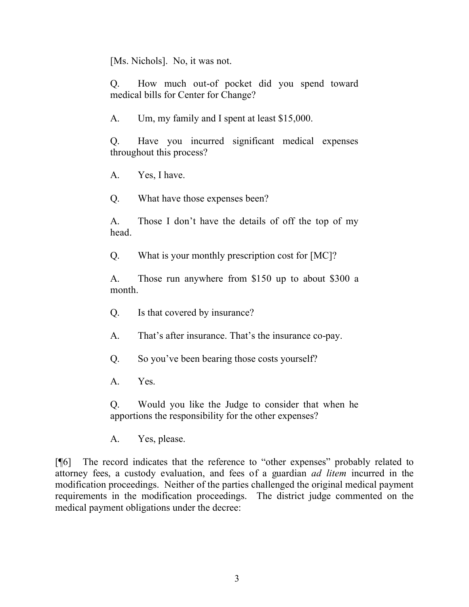[Ms. Nichols]. No, it was not.

Q. How much out-of pocket did you spend toward medical bills for Center for Change?

A. Um, my family and I spent at least \$15,000.

Q. Have you incurred significant medical expenses throughout this process?

A. Yes, I have.

Q. What have those expenses been?

A. Those I don't have the details of off the top of my head.

Q. What is your monthly prescription cost for [MC]?

A. Those run anywhere from \$150 up to about \$300 a month.

Q. Is that covered by insurance?

A. That's after insurance. That's the insurance co-pay.

Q. So you've been bearing those costs yourself?

A. Yes.

Q. Would you like the Judge to consider that when he apportions the responsibility for the other expenses?

A. Yes, please.

[¶6] The record indicates that the reference to "other expenses" probably related to attorney fees, a custody evaluation, and fees of a guardian *ad litem* incurred in the modification proceedings. Neither of the parties challenged the original medical payment requirements in the modification proceedings. The district judge commented on the medical payment obligations under the decree: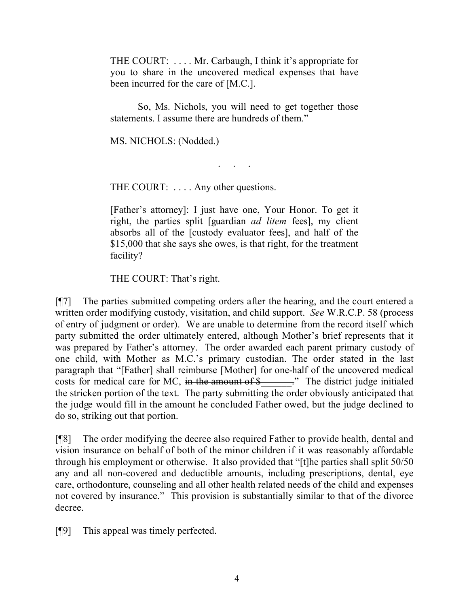THE COURT: . . . . Mr. Carbaugh, I think it's appropriate for you to share in the uncovered medical expenses that have been incurred for the care of [M.C.].

So, Ms. Nichols, you will need to get together those statements. I assume there are hundreds of them."

. . . . .<br>. . . . . .

MS. NICHOLS: (Nodded.)

THE COURT: ... Any other questions.

[Father's attorney]: I just have one, Your Honor. To get it right, the parties split [guardian *ad litem* fees], my client absorbs all of the [custody evaluator fees], and half of the \$15,000 that she says she owes, is that right, for the treatment facility?

THE COURT: That's right.

[¶7] The parties submitted competing orders after the hearing, and the court entered a written order modifying custody, visitation, and child support. *See* W.R.C.P. 58 (process of entry of judgment or order). We are unable to determine from the record itself which party submitted the order ultimately entered, although Mother's brief represents that it was prepared by Father's attorney. The order awarded each parent primary custody of one child, with Mother as M.C.'s primary custodian. The order stated in the last paragraph that "[Father] shall reimburse [Mother] for one-half of the uncovered medical costs for medical care for MC, in the amount of \$\_\_\_\_\_\_." The district judge initialed the stricken portion of the text. The party submitting the order obviously anticipated that the judge would fill in the amount he concluded Father owed, but the judge declined to do so, striking out that portion.

[¶8] The order modifying the decree also required Father to provide health, dental and vision insurance on behalf of both of the minor children if it was reasonably affordable through his employment or otherwise. It also provided that "[t]he parties shall split 50/50 any and all non-covered and deductible amounts, including prescriptions, dental, eye care, orthodonture, counseling and all other health related needs of the child and expenses not covered by insurance." This provision is substantially similar to that of the divorce decree.

[¶9] This appeal was timely perfected.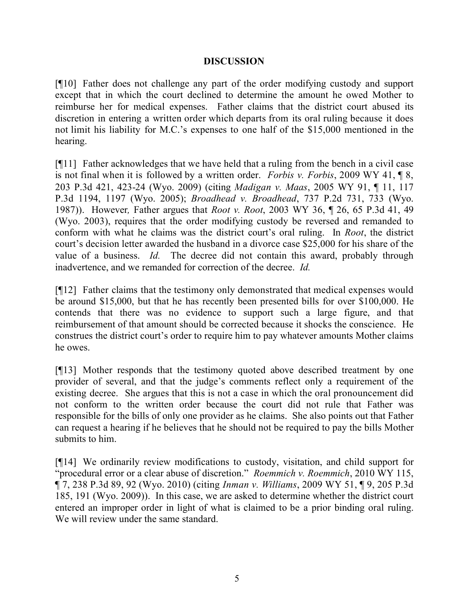## **DISCUSSION**

[¶10] Father does not challenge any part of the order modifying custody and support except that in which the court declined to determine the amount he owed Mother to reimburse her for medical expenses. Father claims that the district court abused its discretion in entering a written order which departs from its oral ruling because it does not limit his liability for M.C.'s expenses to one half of the \$15,000 mentioned in the hearing.

[¶11] Father acknowledges that we have held that a ruling from the bench in a civil case is not final when it is followed by a written order. *Forbis v. Forbis*, 2009 WY 41, ¶ 8, 203 P.3d 421, 423-24 (Wyo. 2009) (citing *Madigan v. Maas*, 2005 WY 91, ¶ 11, 117 P.3d 1194, 1197 (Wyo. 2005); *Broadhead v. Broadhead*, 737 P.2d 731, 733 (Wyo. 1987)). However*,* Father argues that *Root v. Root*, 2003 WY 36, ¶ 26, 65 P.3d 41, 49 (Wyo. 2003), requires that the order modifying custody be reversed and remanded to conform with what he claims was the district court's oral ruling. In *Root*, the district court's decision letter awarded the husband in a divorce case \$25,000 for his share of the value of a business. *Id.* The decree did not contain this award, probably through inadvertence, and we remanded for correction of the decree. *Id.* 

[¶12] Father claims that the testimony only demonstrated that medical expenses would be around \$15,000, but that he has recently been presented bills for over \$100,000. He contends that there was no evidence to support such a large figure, and that reimbursement of that amount should be corrected because it shocks the conscience. He construes the district court's order to require him to pay whatever amounts Mother claims he owes.

[¶13] Mother responds that the testimony quoted above described treatment by one provider of several, and that the judge's comments reflect only a requirement of the existing decree. She argues that this is not a case in which the oral pronouncement did not conform to the written order because the court did not rule that Father was responsible for the bills of only one provider as he claims. She also points out that Father can request a hearing if he believes that he should not be required to pay the bills Mother submits to him.

[¶14] We ordinarily review modifications to custody, visitation, and child support for "procedural error or a clear abuse of discretion." *Roemmich v. Roemmich*, 2010 WY 115, ¶ 7, 238 P.3d 89, 92 (Wyo. 2010) (citing *Inman v. Williams*, 2009 WY 51, ¶ 9, 205 P.3d 185, 191 (Wyo. 2009)). In this case, we are asked to determine whether the district court entered an improper order in light of what is claimed to be a prior binding oral ruling. We will review under the same standard.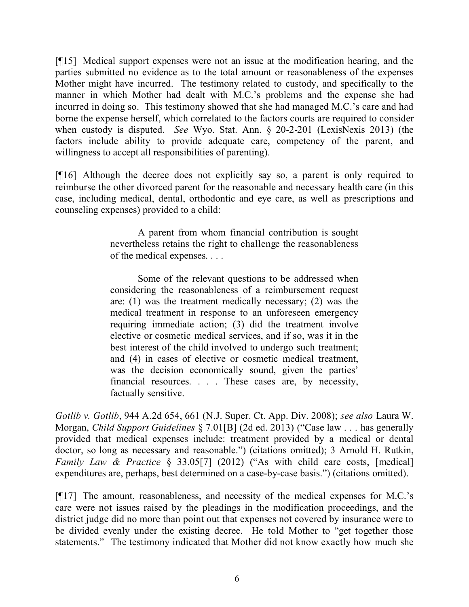[¶15] Medical support expenses were not an issue at the modification hearing, and the parties submitted no evidence as to the total amount or reasonableness of the expenses Mother might have incurred. The testimony related to custody, and specifically to the manner in which Mother had dealt with M.C.'s problems and the expense she had incurred in doing so. This testimony showed that she had managed M.C.'s care and had borne the expense herself, which correlated to the factors courts are required to consider when custody is disputed. *See* Wyo. Stat. Ann. § 20-2-201 (LexisNexis 2013) (the factors include ability to provide adequate care, competency of the parent, and willingness to accept all responsibilities of parenting).

[¶16] Although the decree does not explicitly say so, a parent is only required to reimburse the other divorced parent for the reasonable and necessary health care (in this case, including medical, dental, orthodontic and eye care, as well as prescriptions and counseling expenses) provided to a child:

> A parent from whom financial contribution is sought nevertheless retains the right to challenge the reasonableness of the medical expenses. . . .

> Some of the relevant questions to be addressed when considering the reasonableness of a reimbursement request are: (1) was the treatment medically necessary; (2) was the medical treatment in response to an unforeseen emergency requiring immediate action; (3) did the treatment involve elective or cosmetic medical services, and if so, was it in the best interest of the child involved to undergo such treatment; and (4) in cases of elective or cosmetic medical treatment, was the decision economically sound, given the parties' financial resources. . . . These cases are, by necessity, factually sensitive.

*Gotlib v. Gotlib*, 944 A.2d 654, 661 (N.J. Super. Ct. App. Div. 2008); *see also* Laura W. Morgan, *Child Support Guidelines* § 7.01[B] (2d ed. 2013) ("Case law . . . has generally provided that medical expenses include: treatment provided by a medical or dental doctor, so long as necessary and reasonable.") (citations omitted); 3 Arnold H. Rutkin, *Family Law & Practice* § 33.05[7] (2012) ("As with child care costs, [medical] expenditures are, perhaps, best determined on a case-by-case basis.") (citations omitted).

[¶17] The amount, reasonableness, and necessity of the medical expenses for M.C.'s care were not issues raised by the pleadings in the modification proceedings, and the district judge did no more than point out that expenses not covered by insurance were to be divided evenly under the existing decree. He told Mother to "get together those statements." The testimony indicated that Mother did not know exactly how much she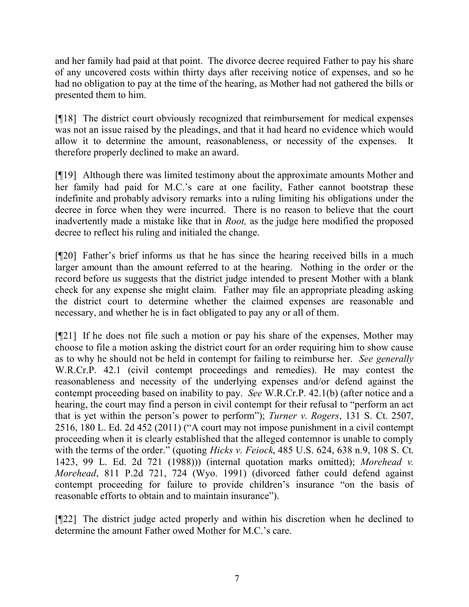and her family had paid at that point. The divorce decree required Father to pay his share of any uncovered costs within thirty days after receiving notice of expenses, and so he had no obligation to pay at the time of the hearing, as Mother had not gathered the bills or presented them to him.

[¶18] The district court obviously recognized that reimbursement for medical expenses was not an issue raised by the pleadings, and that it had heard no evidence which would allow it to determine the amount, reasonableness, or necessity of the expenses. It therefore properly declined to make an award.

[¶19] Although there was limited testimony about the approximate amounts Mother and her family had paid for M.C.'s care at one facility, Father cannot bootstrap these indefinite and probably advisory remarks into a ruling limiting his obligations under the decree in force when they were incurred. There is no reason to believe that the court inadvertently made a mistake like that in *Root,* as the judge here modified the proposed decree to reflect his ruling and initialed the change.

[¶20] Father's brief informs us that he has since the hearing received bills in a much larger amount than the amount referred to at the hearing. Nothing in the order or the record before us suggests that the district judge intended to present Mother with a blank check for any expense she might claim. Father may file an appropriate pleading asking the district court to determine whether the claimed expenses are reasonable and necessary, and whether he is in fact obligated to pay any or all of them.

[¶21] If he does not file such a motion or pay his share of the expenses, Mother may choose to file a motion asking the district court for an order requiring him to show cause as to why he should not be held in contempt for failing to reimburse her. *See generally*  W.R.Cr.P. 42.1 (civil contempt proceedings and remedies). He may contest the reasonableness and necessity of the underlying expenses and/or defend against the contempt proceeding based on inability to pay. *See* W.R.Cr.P. 42.1(b) (after notice and a hearing, the court may find a person in civil contempt for their refusal to "perform an act that is yet within the person's power to perform"); *Turner v. Rogers*, 131 S. Ct. 2507, 2516, 180 L. Ed. 2d 452 (2011) ("A court may not impose punishment in a civil contempt proceeding when it is clearly established that the alleged contemnor is unable to comply with the terms of the order." (quoting *Hicks v. Feiock*, 485 U.S. 624, 638 n.9, 108 S. Ct. 1423, 99 L. Ed. 2d 721 (1988))) (internal quotation marks omitted); *Morehead v. Morehead*, 811 P.2d 721, 724 (Wyo. 1991) (divorced father could defend against contempt proceeding for failure to provide children's insurance "on the basis of reasonable efforts to obtain and to maintain insurance").

[¶22] The district judge acted properly and within his discretion when he declined to determine the amount Father owed Mother for M.C.'s care.